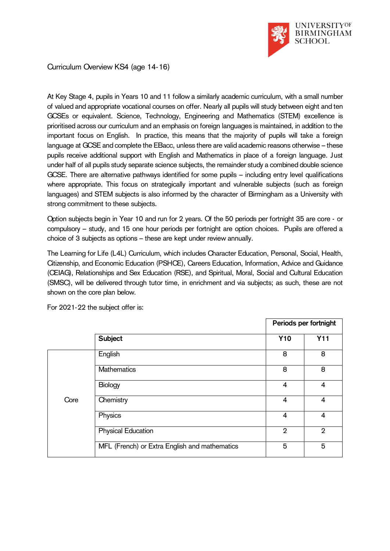

Curriculum Overview KS4 (age 14-16)

At Key Stage 4, pupils in Years 10 and 11 follow a similarly academic curriculum, with a small number of valued and appropriate vocational courses on offer. Nearly all pupils will study between eight and ten GCSEs or equivalent. Science, Technology, Engineering and Mathematics (STEM) excellence is prioritised across our curriculum and an emphasis on foreign languages is maintained, in addition to the important focus on English. In practice, this means that the majority of pupils will take a foreign language at GCSE and complete the EBacc, unless there are valid academic reasons otherwise – these pupils receive additional support with English and Mathematics in place of a foreign language. Just under half of all pupils study separate science subjects, the remainder study a combined double science GCSE. There are alternative pathways identified for some pupils – including entry level qualifications where appropriate. This focus on strategically important and vulnerable subjects (such as foreign languages) and STEM subjects is also informed by the character of Birmingham as a University with strong commitment to these subjects.

Option subjects begin in Year 10 and run for 2 years. Of the 50 periods per fortnight 35 are core - or compulsory – study, and 15 one hour periods per fortnight are option choices. Pupils are offered a choice of 3 subjects as options – these are kept under review annually.

The Learning for Life (L4L) Curriculum, which includes Character Education, Personal, Social, Health, Citizenship, and Economic Education (PSHCE), Careers Education, Information, Advice and Guidance (CEIAG), Relationships and Sex Education (RSE), and Spiritual, Moral, Social and Cultural Education (SMSC), will be delivered through tutor time, in enrichment and via subjects; as such, these are not shown on the core plan below.

|      |                                               | Periods per fortnight |                |
|------|-----------------------------------------------|-----------------------|----------------|
|      | Subject                                       | <b>Y10</b>            | <b>Y11</b>     |
| Core | English                                       | 8                     | 8              |
|      | Mathematics                                   | 8                     | 8              |
|      | Biology                                       | 4                     | $\overline{4}$ |
|      | Chemistry                                     | 4                     | 4              |
|      | Physics                                       | $\overline{4}$        | 4              |
|      | <b>Physical Education</b>                     | $\overline{2}$        | $\overline{2}$ |
|      | MFL (French) or Extra English and mathematics | 5                     | 5              |

For 2021-22 the subject offer is: